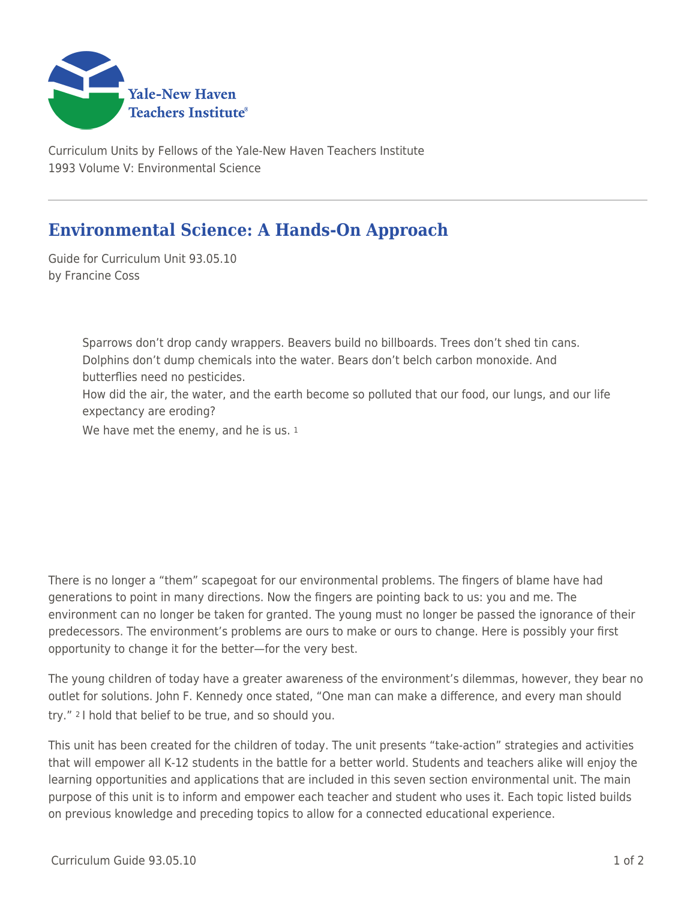

Curriculum Units by Fellows of the Yale-New Haven Teachers Institute 1993 Volume V: Environmental Science

## **Environmental Science: A Hands-On Approach**

Guide for Curriculum Unit 93.05.10 by Francine Coss

> Sparrows don't drop candy wrappers. Beavers build no billboards. Trees don't shed tin cans. Dolphins don't dump chemicals into the water. Bears don't belch carbon monoxide. And butterflies need no pesticides. How did the air, the water, and the earth become so polluted that our food, our lungs, and our life expectancy are eroding? We have met the enemy, and he is us. 1

There is no longer a "them" scapegoat for our environmental problems. The fingers of blame have had generations to point in many directions. Now the fingers are pointing back to us: you and me. The environment can no longer be taken for granted. The young must no longer be passed the ignorance of their predecessors. The environment's problems are ours to make or ours to change. Here is possibly your first opportunity to change it for the better—for the very best.

The young children of today have a greater awareness of the environment's dilemmas, however, they bear no outlet for solutions. John F. Kennedy once stated, "One man can make a difference, and every man should try." 2 I hold that belief to be true, and so should you.

This unit has been created for the children of today. The unit presents "take-action" strategies and activities that will empower all K-12 students in the battle for a better world. Students and teachers alike will enjoy the learning opportunities and applications that are included in this seven section environmental unit. The main purpose of this unit is to inform and empower each teacher and student who uses it. Each topic listed builds on previous knowledge and preceding topics to allow for a connected educational experience.